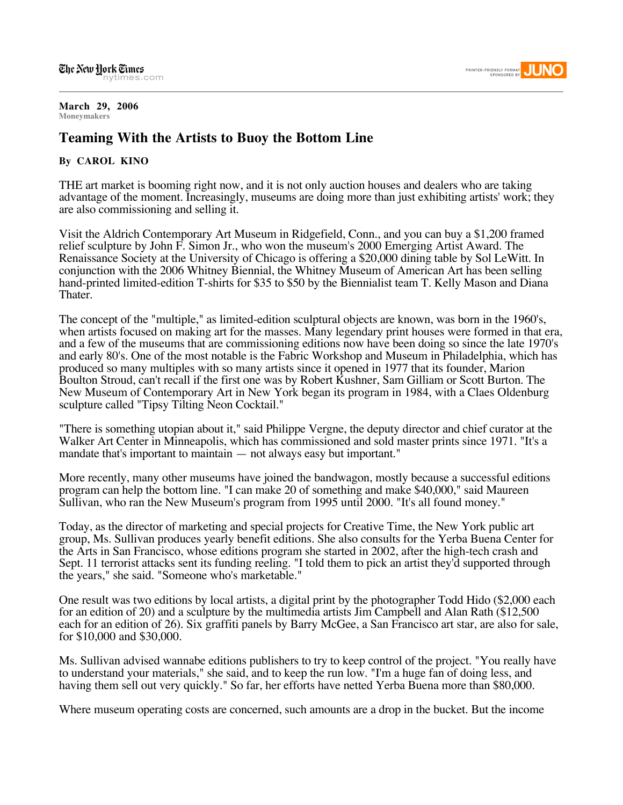

**March 29, 2006 Moneymakers**

## **Teaming With the Artists to Buoy the Bottom Line**

## **By CAROL KINO**

THE art market is booming right now, and it is not only auction houses and dealers who are taking advantage of the moment. Increasingly, museums are doing more than just exhibiting artists' work; they are also commissioning and selling it.

Visit the Aldrich Contemporary Art Museum in Ridgefield, Conn., and you can buy a \$1,200 framed relief sculpture by John F. Simon Jr., who won the museum's 2000 Emerging Artist Award. The Renaissance Society at the University of Chicago is offering a \$20,000 dining table by Sol LeWitt. In conjunction with the 2006 Whitney Biennial, the Whitney Museum of American Art has been selling hand-printed limited-edition T-shirts for \$35 to \$50 by the Biennialist team T. Kelly Mason and Diana Thater.

The concept of the "multiple," as limited-edition sculptural objects are known, was born in the 1960's, when artists focused on making art for the masses. Many legendary print houses were formed in that era, and a few of the museums that are commissioning editions now have been doing so since the late 1970's and early 80's. One of the most notable is the Fabric Workshop and Museum in Philadelphia, which has produced so many multiples with so many artists since it opened in 1977 that its founder, Marion Boulton Stroud, can't recall if the first one was by Robert Kushner, Sam Gilliam or Scott Burton. The New Museum of Contemporary Art in New York began its program in 1984, with a Claes Oldenburg sculpture called "Tipsy Tilting Neon Cocktail."

"There is something utopian about it," said Philippe Vergne, the deputy director and chief curator at the Walker Art Center in Minneapolis, which has commissioned and sold master prints since 1971. "It's a mandate that's important to maintain — not always easy but important."

More recently, many other museums have joined the bandwagon, mostly because a successful editions program can help the bottom line. "I can make 20 of something and make \$40,000," said Maureen Sullivan, who ran the New Museum's program from 1995 until 2000. "It's all found money."

Today, as the director of marketing and special projects for Creative Time, the New York public art group, Ms. Sullivan produces yearly benefit editions. She also consults for the Yerba Buena Center for the Arts in San Francisco, whose editions program she started in 2002, after the high-tech crash and Sept. 11 terrorist attacks sent its funding reeling. "I told them to pick an artist they'd supported through the years," she said. "Someone who's marketable."

One result was two editions by local artists, a digital print by the photographer Todd Hido (\$2,000 each for an edition of 20) and a sculpture by the multimedia artists Jim Campbell and Alan Rath (\$12,500 each for an edition of 26). Six graffiti panels by Barry McGee, a San Francisco art star, are also for sale, for \$10,000 and \$30,000.

Ms. Sullivan advised wannabe editions publishers to try to keep control of the project. "You really have to understand your materials," she said, and to keep the run low. "I'm a huge fan of doing less, and having them sell out very quickly." So far, her efforts have netted Yerba Buena more than \$80,000.

Where museum operating costs are concerned, such amounts are a drop in the bucket. But the income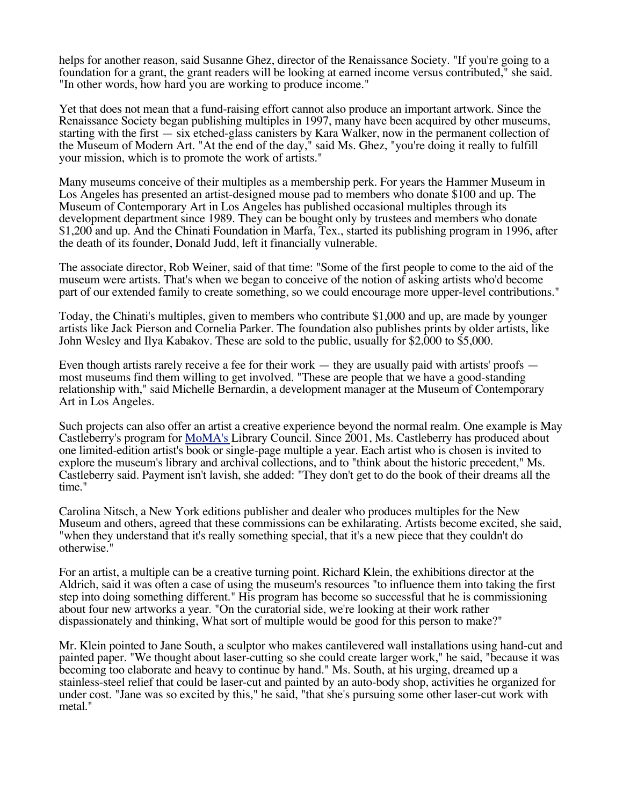helps for another reason, said Susanne Ghez, director of the Renaissance Society. "If you're going to a foundation for a grant, the grant readers will be looking at earned income versus contributed," she said. "In other words, how hard you are working to produce income."

Yet that does not mean that a fund-raising effort cannot also produce an important artwork. Since the Renaissance Society began publishing multiples in 1997, many have been acquired by other museums, starting with the first — six etched-glass canisters by Kara Walker, now in the permanent collection of the Museum of Modern Art. "At the end of the day," said Ms. Ghez, "you're doing it really to fulfill your mission, which is to promote the work of artists."

Many museums conceive of their multiples as a membership perk. For years the Hammer Museum in Los Angeles has presented an artist-designed mouse pad to members who donate \$100 and up. The Museum of Contemporary Art in Los Angeles has published occasional multiples through its development department since 1989. They can be bought only by trustees and members who donate \$1,200 and up. And the Chinati Foundation in Marfa, Tex., started its publishing program in 1996, after the death of its founder, Donald Judd, left it financially vulnerable.

The associate director, Rob Weiner, said of that time: "Some of the first people to come to the aid of the museum were artists. That's when we began to conceive of the notion of asking artists who'd become part of our extended family to create something, so we could encourage more upper-level contributions."

Today, the Chinati's multiples, given to members who contribute \$1,000 and up, are made by younger artists like Jack Pierson and Cornelia Parker. The foundation also publishes prints by older artists, like John Wesley and Ilya Kabakov. These are sold to the public, usually for \$2,000 to \$5,000.

Even though artists rarely receive a fee for their work — they are usually paid with artists' proofs most museums find them willing to get involved. "These are people that we have a good-standing relationship with," said Michelle Bernardin, a development manager at the Museum of Contemporary Art in Los Angeles.

Such projects can also offer an artist a creative experience beyond the normal realm. One example is May Castleberry's program for MoMA's Library Council. Since 2001, Ms. Castleberry has produced about one limited-edition artist's book or single-page multiple a year. Each artist who is chosen is invited to explore the museum's library and archival collections, and to "think about the historic precedent," Ms. Castleberry said. Payment isn't lavish, she added: "They don't get to do the book of their dreams all the time."

Carolina Nitsch, a New York editions publisher and dealer who produces multiples for the New Museum and others, agreed that these commissions can be exhilarating. Artists become excited, she said, "when they understand that it's really something special, that it's a new piece that they couldn't do otherwise."

For an artist, a multiple can be a creative turning point. Richard Klein, the exhibitions director at the Aldrich, said it was often a case of using the museum's resources "to influence them into taking the first step into doing something different." His program has become so successful that he is commissioning about four new artworks a year. "On the curatorial side, we're looking at their work rather dispassionately and thinking, What sort of multiple would be good for this person to make?"

Mr. Klein pointed to Jane South, a sculptor who makes cantilevered wall installations using hand-cut and painted paper. "We thought about laser-cutting so she could create larger work," he said, "because it was becoming too elaborate and heavy to continue by hand." Ms. South, at his urging, dreamed up a stainless-steel relief that could be laser-cut and painted by an auto-body shop, activities he organized for under cost. "Jane was so excited by this," he said, "that she's pursuing some other laser-cut work with metal."